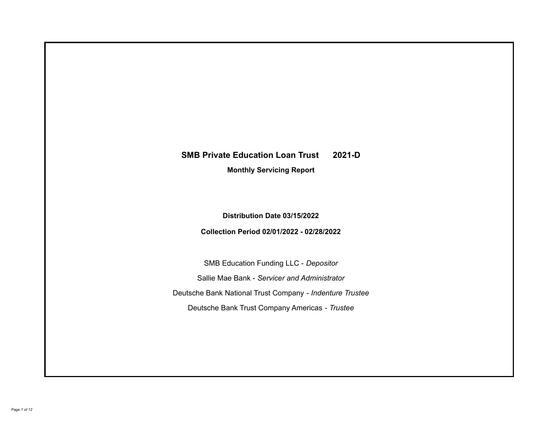# **SMB Private Education Loan Trust 2021-D**

**Monthly Servicing Report**

**Distribution Date 03/15/2022**

**Collection Period 02/01/2022 - 02/28/2022**

SMB Education Funding LLC - *Depositor* Sallie Mae Bank - *Servicer and Administrator* Deutsche Bank National Trust Company - *Indenture Trustee* Deutsche Bank Trust Company Americas - *Trustee*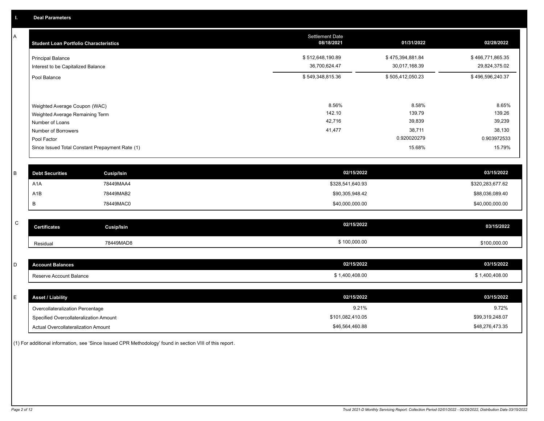A

| <b>Student Loan Portfolio Characteristics</b>                                                                                                                                | <b>Settlement Date</b><br>08/18/2021 | 01/31/2022                                                   | 02/28/2022                                                   |
|------------------------------------------------------------------------------------------------------------------------------------------------------------------------------|--------------------------------------|--------------------------------------------------------------|--------------------------------------------------------------|
| <b>Principal Balance</b><br>Interest to be Capitalized Balance                                                                                                               | \$512,648,190.89<br>36,700,624.47    | \$475,394,881.84<br>30,017,168.39                            | \$466,771,865.35<br>29,824,375.02                            |
| Pool Balance                                                                                                                                                                 | \$549,348,815.36                     | \$505,412,050.23                                             | \$496,596,240.37                                             |
| Weighted Average Coupon (WAC)<br>Weighted Average Remaining Term<br>Number of Loans<br>Number of Borrowers<br>Pool Factor<br>Since Issued Total Constant Prepayment Rate (1) | 8.56%<br>142.10<br>42,716<br>41,477  | 8.58%<br>139.79<br>39,839<br>38,711<br>0.920020279<br>15.68% | 8.65%<br>139.26<br>39,239<br>38,130<br>0.903972533<br>15.79% |

| <b>Debt Securities</b> | Cusip/Isin | 02/15/2022       | 03/15/2022       |
|------------------------|------------|------------------|------------------|
| A1A                    | 78449MAA4  | \$328,541,640.93 | \$320,283,677.62 |
| A1B                    | 78449MAB2  | \$90,305,948.42  | \$88,036,089.40  |
|                        | 78449MAC0  | \$40,000,000.00  | \$40,000,000.00  |

| $\sim$<br>◡ | <b>Certificates</b> | Cusip/Isin | 02/15/2022   | 03/15/2022   |
|-------------|---------------------|------------|--------------|--------------|
|             | Residual            | 78449MAD8  | \$100,000.00 | \$100,000.00 |

| <b>Account Balances</b> | 02/15/2022   | 03/15/2022   |
|-------------------------|--------------|--------------|
| Reserve Account Balance | 1,400,408.00 | 1,400,408.00 |

| <b>Asset / Liability</b>               | 02/15/2022       | 03/15/2022      |
|----------------------------------------|------------------|-----------------|
| Overcollateralization Percentage       | 9.21%            | 9.72%           |
| Specified Overcollateralization Amount | \$101,082,410.05 | \$99,319,248.07 |
| Actual Overcollateralization Amount    | \$46,564,460.88  | \$48,276,473.35 |

(1) For additional information, see 'Since Issued CPR Methodology' found in section VIII of this report .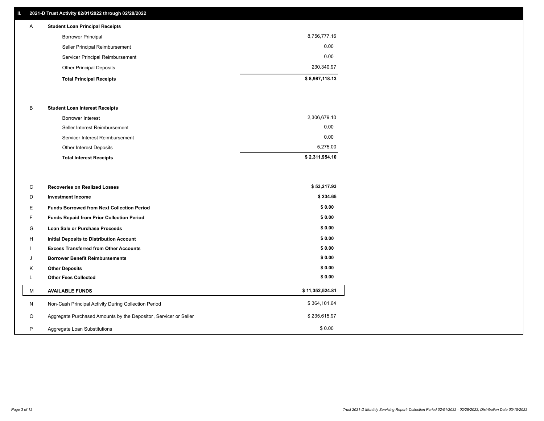## **II. 2021-D Trust Activity 02/01/2022 through 02/28/2022**

| $\mathsf{A}$ | <b>Student Loan Principal Receipts</b> |                |
|--------------|----------------------------------------|----------------|
|              | <b>Borrower Principal</b>              | 8,756,777.16   |
|              | Seller Principal Reimbursement         | 0.00           |
|              | Servicer Principal Reimbursement       | 0.00           |
|              | <b>Other Principal Deposits</b>        | 230,340.97     |
|              | <b>Total Principal Receipts</b>        | \$8,987,118.13 |

#### B **Student Loan Interest Receipts**

| <b>Total Interest Receipts</b>  | \$2,311,954.10 |
|---------------------------------|----------------|
| Other Interest Deposits         | 5,275.00       |
| Servicer Interest Reimbursement | 0.00           |
| Seller Interest Reimbursement   | 0.00           |
| Borrower Interest               | 2,306,679.10   |

| C       | <b>Recoveries on Realized Losses</b>                             | \$53,217.93     |
|---------|------------------------------------------------------------------|-----------------|
| D       | <b>Investment Income</b>                                         | \$234.65        |
| Е.      | <b>Funds Borrowed from Next Collection Period</b>                | \$0.00          |
| F.      | Funds Repaid from Prior Collection Period                        | \$0.00          |
| G       | Loan Sale or Purchase Proceeds                                   | \$0.00          |
| H       | Initial Deposits to Distribution Account                         | \$0.00          |
|         | <b>Excess Transferred from Other Accounts</b>                    | \$0.00          |
| J       | <b>Borrower Benefit Reimbursements</b>                           | \$0.00          |
| K       | <b>Other Deposits</b>                                            | \$0.00          |
|         | <b>Other Fees Collected</b>                                      | \$0.00          |
| M       | <b>AVAILABLE FUNDS</b>                                           | \$11,352,524.81 |
| N       | Non-Cash Principal Activity During Collection Period             | \$364,101.64    |
| $\circ$ | Aggregate Purchased Amounts by the Depositor, Servicer or Seller | \$235,615.97    |
| P       | Aggregate Loan Substitutions                                     | \$0.00          |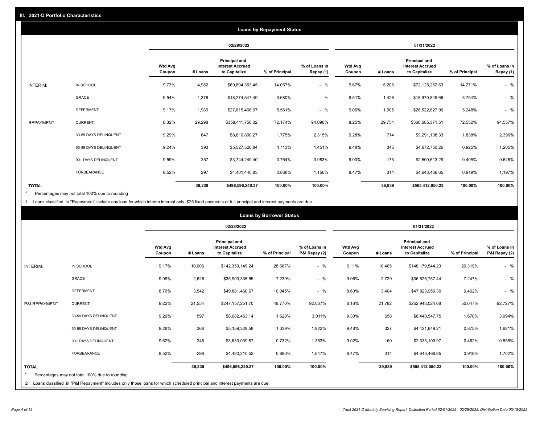|                   | <b>Loans by Repayment Status</b> |                          |         |                                                           |                |                            |                          |         |                                                           |                |                            |
|-------------------|----------------------------------|--------------------------|---------|-----------------------------------------------------------|----------------|----------------------------|--------------------------|---------|-----------------------------------------------------------|----------------|----------------------------|
|                   |                                  |                          |         | 02/28/2022                                                |                |                            |                          |         | 01/31/2022                                                |                |                            |
|                   |                                  | <b>Wtd Avg</b><br>Coupon | # Loans | Principal and<br><b>Interest Accrued</b><br>to Capitalize | % of Principal | % of Loans in<br>Repay (1) | <b>Wtd Avg</b><br>Coupon | # Loans | Principal and<br><b>Interest Accrued</b><br>to Capitalize | % of Principal | % of Loans in<br>Repay (1) |
| INTERIM:          | IN SCHOOL                        | 9.73%                    | 4,982   | \$69,804,363.45                                           | 14.057%        | $-$ %                      | 9.67%                    | 5,206   | \$72,125,262.63                                           | 14.271%        | $-$ %                      |
|                   | <b>GRACE</b>                     | 9.54%                    | 1,376   | \$18,274,547.49                                           | 3.680%         | $-$ %                      | 9.51%                    | 1,428   | \$18,970,849.66                                           | 3.754%         | $-$ %                      |
|                   | <b>DEFERMENT</b>                 | 9.17%                    | 1,989   | \$27,615,466.07                                           | 5.561%         | $-$ %                      | 9.06%                    | 1,905   | \$26,522,627.90                                           | 5.248%         | $-$ %                      |
| <b>REPAYMENT:</b> | <b>CURRENT</b>                   | 8.32%                    | 29,298  | \$358,411,756.02                                          | 72.174%        | 94.096%                    | 8.25%                    | 29,754  | \$366,685,371.51                                          | 72.552%        | 94.557%                    |
|                   | 30-59 DAYS DELINQUENT            | 9.29%                    | 647     | \$8,816,890.27                                            | 1.775%         | 2.315%                     | 9.28%                    | 714     | \$9,291,108.33                                            | 1.838%         | 2.396%                     |
|                   | 60-89 DAYS DELINQUENT            | 9.24%                    | 393     | \$5,527,526.84                                            | 1.113%         | 1.451%                     | 9.48%                    | 345     | \$4,672,750.26                                            | 0.925%         | 1.205%                     |
|                   | 90+ DAYS DELINQUENT              | 9.59%                    | 257     | \$3,744,249.40                                            | 0.754%         | 0.983%                     | 9.00%                    | 173     | \$2,500,613.29                                            | 0.495%         | 0.645%                     |
|                   | <b>FORBEARANCE</b>               | 8.52%                    | 297     | \$4,401,440.83                                            | 0.886%         | 1.156%                     | 8.47%                    | 314     | \$4,643,466.65                                            | 0.919%         | 1.197%                     |
| <b>TOTAL</b>      |                                  |                          | 39,239  | \$496,596,240.37                                          | 100.00%        | 100.00%                    |                          | 39,839  | \$505,412,050.23                                          | 100.00%        | 100.00%                    |

Percentages may not total 100% due to rounding \*

1 Loans classified in "Repayment" include any loan for which interim interest only, \$25 fixed payments or full principal and interest payments are due.

|                         | <b>Loans by Borrower Status</b>                                                                                              |                          |            |                                                           |                |                                |                          |         |                                                           |                |                                |
|-------------------------|------------------------------------------------------------------------------------------------------------------------------|--------------------------|------------|-----------------------------------------------------------|----------------|--------------------------------|--------------------------|---------|-----------------------------------------------------------|----------------|--------------------------------|
|                         |                                                                                                                              |                          | 02/28/2022 |                                                           |                |                                |                          |         | 01/31/2022                                                |                |                                |
|                         |                                                                                                                              | <b>Wtd Avg</b><br>Coupon | # Loans    | Principal and<br><b>Interest Accrued</b><br>to Capitalize | % of Principal | % of Loans in<br>P&I Repay (2) | <b>Wtd Avg</b><br>Coupon | # Loans | Principal and<br><b>Interest Accrued</b><br>to Capitalize | % of Principal | % of Loans in<br>P&I Repay (2) |
| <b>INTERIM:</b>         | IN SCHOOL                                                                                                                    | 9.17%                    | 10,006     | \$142,359,149.24                                          | 28.667%        | $-$ %                          | 9.11%                    | 10,465  | \$148,179,544.23                                          | 29.319%        | $-$ %                          |
|                         | <b>GRACE</b>                                                                                                                 | 9.09%                    | 2,626      | \$35,903,335.65                                           | 7.230%         | $-$ %                          | 9.06%                    | 2,729   | \$36,626,757.44                                           | 7.247%         | $-$ %                          |
|                         | <b>DEFERMENT</b>                                                                                                             | 8.70%                    | 3,542      | \$49,881,460.67                                           | 10.045%        | $-$ %                          | 8.60%                    | 3,404   | \$47,823,950.30                                           | 9.462%         | $-$ %                          |
| P&I REPAYMENT:          | <b>CURRENT</b>                                                                                                               | 8.22%                    | 21,554     | \$247,157,251.70                                          | 49.770%        | 92.067%                        | 8.16%                    | 21,782  | \$252,943,024.68                                          | 50.047%        | 92.727%                        |
|                         | 30-59 DAYS DELINQUENT                                                                                                        | 9.29%                    | 597        | \$8,082,463.14                                            | 1.628%         | 3.011%                         | 9.30%                    | 658     | \$8,440,547.75                                            | 1.670%         | 3.094%                         |
|                         | 60-89 DAYS DELINQUENT                                                                                                        | 9.26%                    | 368        | \$5,159,329.58                                            | 1.039%         | 1.922%                         | 9.48%                    | 327     | \$4,421,649.21                                            | 0.875%         | 1.621%                         |
|                         | 90+ DAYS DELINQUENT                                                                                                          | 9.62%                    | 248        | \$3,633,039.87                                            | 0.732%         | 1.353%                         | 9.02%                    | 160     | \$2,333,109.97                                            | 0.462%         | 0.855%                         |
|                         | <b>FORBEARANCE</b>                                                                                                           | 8.52%                    | 298        | \$4,420,210.52                                            | 0.890%         | 1.647%                         | 8.47%                    | 314     | \$4,643,466.65                                            | 0.919%         | 1.702%                         |
| <b>TOTAL</b><br>$\star$ | Percentages may not total 100% due to rounding                                                                               |                          | 39,239     | \$496,596,240.37                                          | 100.00%        | 100.00%                        |                          | 39,839  | \$505,412,050.23                                          | 100.00%        | 100.00%                        |
|                         | 2 Loans classified in "P&I Repayment" includes only those loans for which scheduled principal and interest payments are due. |                          |            |                                                           |                |                                |                          |         |                                                           |                |                                |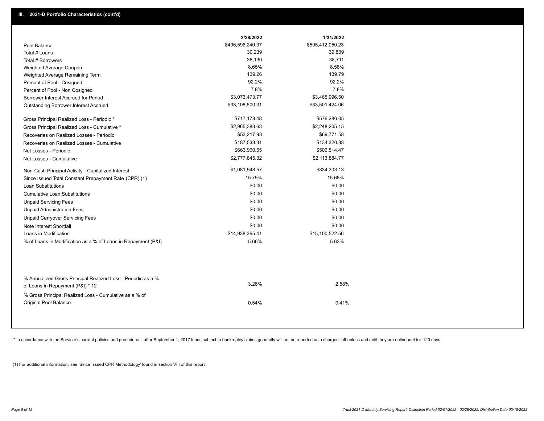|                                                                                                  | 2/28/2022        | 1/31/2022        |
|--------------------------------------------------------------------------------------------------|------------------|------------------|
| Pool Balance                                                                                     | \$496,596,240.37 | \$505,412,050.23 |
| Total # Loans                                                                                    | 39,239           | 39,839           |
| Total # Borrowers                                                                                | 38,130           | 38,711           |
| Weighted Average Coupon                                                                          | 8.65%            | 8.58%            |
| Weighted Average Remaining Term                                                                  | 139.26           | 139.79           |
| Percent of Pool - Cosigned                                                                       | 92.2%            | 92.2%            |
| Percent of Pool - Non Cosigned                                                                   | 7.8%             | 7.8%             |
| Borrower Interest Accrued for Period                                                             | \$3,073,473.77   | \$3,465,996.50   |
| <b>Outstanding Borrower Interest Accrued</b>                                                     | \$33,108,500.31  | \$33,501,424.06  |
| Gross Principal Realized Loss - Periodic *                                                       | \$717,178.48     | \$576,286.05     |
| Gross Principal Realized Loss - Cumulative *                                                     | \$2,965,383.63   | \$2,248,205.15   |
| Recoveries on Realized Losses - Periodic                                                         | \$53,217.93      | \$69,771.58      |
| Recoveries on Realized Losses - Cumulative                                                       | \$187,538.31     | \$134,320.38     |
| Net Losses - Periodic                                                                            | \$663,960.55     | \$506,514.47     |
| Net Losses - Cumulative                                                                          | \$2,777,845.32   | \$2,113,884.77   |
| Non-Cash Principal Activity - Capitalized Interest                                               | \$1,081,948.57   | \$834,303.13     |
| Since Issued Total Constant Prepayment Rate (CPR) (1)                                            | 15.79%           | 15.68%           |
| <b>Loan Substitutions</b>                                                                        | \$0.00           | \$0.00           |
| <b>Cumulative Loan Substitutions</b>                                                             | \$0.00           | \$0.00           |
| <b>Unpaid Servicing Fees</b>                                                                     | \$0.00           | \$0.00           |
| <b>Unpaid Administration Fees</b>                                                                | \$0.00           | \$0.00           |
| <b>Unpaid Carryover Servicing Fees</b>                                                           | \$0.00           | \$0.00           |
| Note Interest Shortfall                                                                          | \$0.00           | \$0.00           |
| Loans in Modification                                                                            | \$14,938,365.41  | \$15,100,522.56  |
| % of Loans in Modification as a % of Loans in Repayment (P&I)                                    | 5.66%            | 5.63%            |
|                                                                                                  |                  |                  |
| % Annualized Gross Principal Realized Loss - Periodic as a %<br>of Loans in Repayment (P&I) * 12 | 3.26%            | 2.58%            |
| % Gross Principal Realized Loss - Cumulative as a % of                                           |                  |                  |

\* In accordance with the Servicer's current policies and procedures, after September 1, 2017 loans subject to bankruptcy claims generally will not be reported as a charged- off unless and until they are delinquent for 120

0.54% 0.41%

(1) For additional information, see 'Since Issued CPR Methodology' found in section VIII of this report .

Original Pool Balance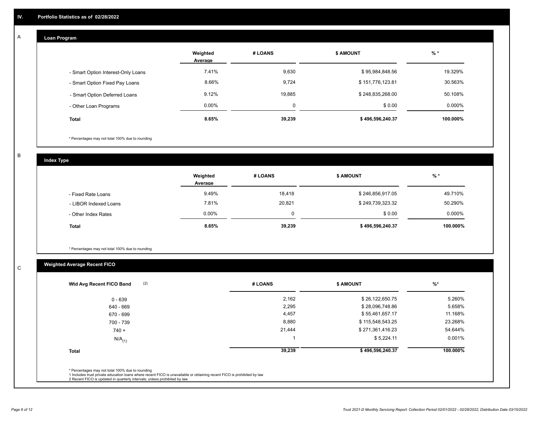# **Loan Program**

A

|                                    | Weighted<br>Average | # LOANS  | <b>\$ AMOUNT</b> | $%$ *    |
|------------------------------------|---------------------|----------|------------------|----------|
| - Smart Option Interest-Only Loans | 7.41%               | 9,630    | \$95,984,848.56  | 19.329%  |
| - Smart Option Fixed Pay Loans     | 8.66%               | 9,724    | \$151,776,123.81 | 30.563%  |
| - Smart Option Deferred Loans      | 9.12%               | 19.885   | \$248,835,268.00 | 50.108%  |
| - Other Loan Programs              | $0.00\%$            | $\Omega$ | \$0.00           | 0.000%   |
| <b>Total</b>                       | 8.65%               | 39,239   | \$496,596,240.37 | 100.000% |

\* Percentages may not total 100% due to rounding

B

C

**Index Type**

|                       | Weighted<br>Average | # LOANS | <b>\$ AMOUNT</b> | $%$ *     |
|-----------------------|---------------------|---------|------------------|-----------|
| - Fixed Rate Loans    | 9.49%               | 18,418  | \$246,856,917.05 | 49.710%   |
| - LIBOR Indexed Loans | 7.81%               | 20,821  | \$249,739,323.32 | 50.290%   |
| - Other Index Rates   | $0.00\%$            |         | \$0.00           | $0.000\%$ |
| <b>Total</b>          | 8.65%               | 39,239  | \$496,596,240.37 | 100.000%  |

\* Percentages may not total 100% due to rounding

# **Weighted Average Recent FICO**

| (2)<br>Wtd Avg Recent FICO Band | # LOANS | <b>\$ AMOUNT</b> | $%$ *    |
|---------------------------------|---------|------------------|----------|
| $0 - 639$                       | 2,162   | \$26,122,650.75  | 5.260%   |
| 640 - 669                       | 2,295   | \$28,096,748.86  | 5.658%   |
| 670 - 699                       | 4,457   | \$55,461,657.17  | 11.168%  |
| 700 - 739                       | 8,880   | \$115,548,543.25 | 23.268%  |
| $740 +$                         | 21,444  | \$271,361,416.23 | 54.644%  |
| $N/A$ <sub>(1)</sub>            |         | \$5,224.11       | 0.001%   |
| <b>Total</b>                    | 39,239  | \$496,596,240.37 | 100.000% |
|                                 |         |                  |          |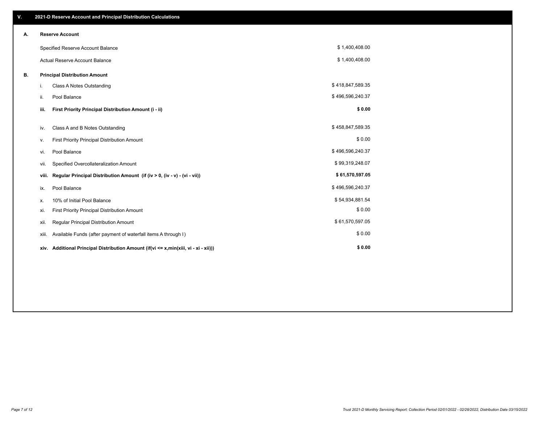| V. |       | 2021-D Reserve Account and Principal Distribution Calculations                  |                  |  |
|----|-------|---------------------------------------------------------------------------------|------------------|--|
| А. |       | <b>Reserve Account</b>                                                          |                  |  |
|    |       | Specified Reserve Account Balance                                               | \$1,400,408.00   |  |
|    |       | <b>Actual Reserve Account Balance</b>                                           | \$1,400,408.00   |  |
| В. |       | <b>Principal Distribution Amount</b>                                            |                  |  |
|    | i.    | <b>Class A Notes Outstanding</b>                                                | \$418,847,589.35 |  |
|    | ii.   | Pool Balance                                                                    | \$496,596,240.37 |  |
|    | iii.  | First Priority Principal Distribution Amount (i - ii)                           | \$0.00           |  |
|    | iv.   | Class A and B Notes Outstanding                                                 | \$458,847,589.35 |  |
|    |       | First Priority Principal Distribution Amount                                    | \$0.00           |  |
|    | ٧.    |                                                                                 | \$496,596,240.37 |  |
|    | vi.   | Pool Balance                                                                    |                  |  |
|    | vii.  | Specified Overcollateralization Amount                                          | \$99,319,248.07  |  |
|    | viii. | Regular Principal Distribution Amount (if (iv > 0, (iv - v) - (vi - vii))       | \$61,570,597.05  |  |
|    | ix.   | Pool Balance                                                                    | \$496,596,240.37 |  |
|    | х.    | 10% of Initial Pool Balance                                                     | \$54,934,881.54  |  |
|    | xi.   | First Priority Principal Distribution Amount                                    | \$0.00           |  |
|    | xii.  | Regular Principal Distribution Amount                                           | \$61,570,597.05  |  |
|    | xiii. | Available Funds (after payment of waterfall items A through I)                  | \$0.00           |  |
|    | xiv.  | Additional Principal Distribution Amount (if(vi <= x,min(xiii, vi - xi - xii))) | \$0.00           |  |
|    |       |                                                                                 |                  |  |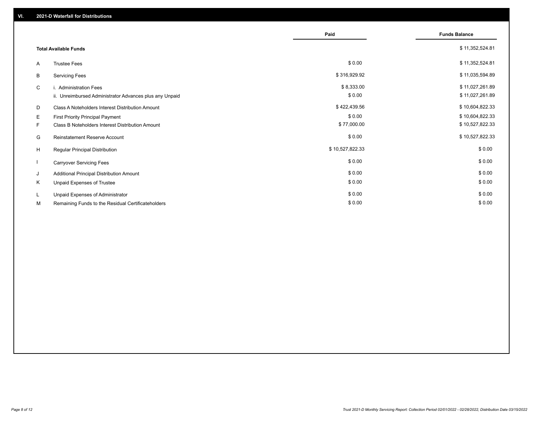|    |                                                         | Paid            | <b>Funds Balance</b> |
|----|---------------------------------------------------------|-----------------|----------------------|
|    | <b>Total Available Funds</b>                            |                 | \$11,352,524.81      |
| A  | <b>Trustee Fees</b>                                     | \$0.00          | \$11,352,524.81      |
| В  | <b>Servicing Fees</b>                                   | \$316,929.92    | \$11,035,594.89      |
| C  | i. Administration Fees                                  | \$8,333.00      | \$11,027,261.89      |
|    | ii. Unreimbursed Administrator Advances plus any Unpaid | \$0.00          | \$11,027,261.89      |
| D  | Class A Noteholders Interest Distribution Amount        | \$422,439.56    | \$10,604,822.33      |
| E. | First Priority Principal Payment                        | \$0.00          | \$10,604,822.33      |
| F. | Class B Noteholders Interest Distribution Amount        | \$77,000.00     | \$10,527,822.33      |
| G  | <b>Reinstatement Reserve Account</b>                    | \$0.00          | \$10,527,822.33      |
| H  | Regular Principal Distribution                          | \$10,527,822.33 | \$0.00               |
|    | <b>Carryover Servicing Fees</b>                         | \$0.00          | \$0.00               |
| J  | Additional Principal Distribution Amount                | \$0.00          | \$0.00               |
| Κ  | Unpaid Expenses of Trustee                              | \$0.00          | \$0.00               |
| L. | Unpaid Expenses of Administrator                        | \$0.00          | \$0.00               |
| М  | Remaining Funds to the Residual Certificateholders      | \$0.00          | \$0.00               |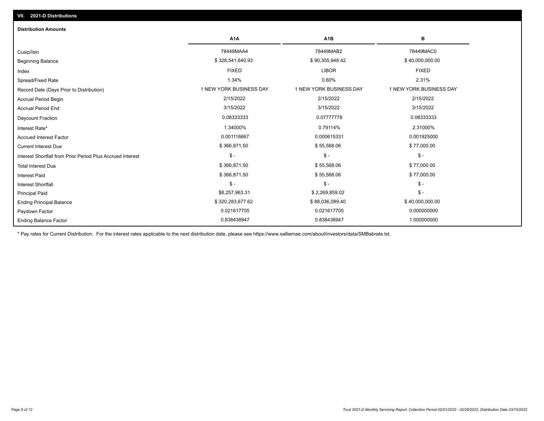| <b>Distribution Amounts</b>                                |                         |                         |                         |
|------------------------------------------------------------|-------------------------|-------------------------|-------------------------|
|                                                            | A <sub>1</sub> A        | A <sub>1</sub> B        | в                       |
| Cusip/Isin                                                 | 78449MAA4               | 78449MAB2               | 78449MAC0               |
| <b>Beginning Balance</b>                                   | \$328,541,640.93        | \$90,305,948.42         | \$40,000,000.00         |
| Index                                                      | <b>FIXED</b>            | <b>LIBOR</b>            | <b>FIXED</b>            |
| Spread/Fixed Rate                                          | 1.34%                   | 0.60%                   | 2.31%                   |
| Record Date (Days Prior to Distribution)                   | 1 NEW YORK BUSINESS DAY | 1 NEW YORK BUSINESS DAY | 1 NEW YORK BUSINESS DAY |
| <b>Accrual Period Begin</b>                                | 2/15/2022               | 2/15/2022               | 2/15/2022               |
| <b>Accrual Period End</b>                                  | 3/15/2022               | 3/15/2022               | 3/15/2022               |
| Daycount Fraction                                          | 0.08333333              | 0.07777778              | 0.08333333              |
| Interest Rate*                                             | 1.34000%                | 0.79114%                | 2.31000%                |
| <b>Accrued Interest Factor</b>                             | 0.001116667             | 0.000615331             | 0.001925000             |
| <b>Current Interest Due</b>                                | \$366,871.50            | \$55,568.06             | \$77,000.00             |
| Interest Shortfall from Prior Period Plus Accrued Interest | $\mathsf{\$}$ -         | $\mathcal{S}$ -         | $$ -$                   |
| <b>Total Interest Due</b>                                  | \$366,871.50            | \$55,568.06             | \$77,000.00             |
| <b>Interest Paid</b>                                       | \$366,871.50            | \$55,568.06             | \$77,000.00             |
| <b>Interest Shortfall</b>                                  | $\mathsf{\$}$ -         | $\mathsf{\$}$ -         | $\mathsf{\$}$ -         |
| <b>Principal Paid</b>                                      | \$8,257,963.31          | \$2,269,859.02          | $\mathsf{\$}$ -         |
| <b>Ending Principal Balance</b>                            | \$320,283,677.62        | \$88,036,089.40         | \$40,000,000.00         |
| Paydown Factor                                             | 0.021617705             | 0.021617705             | 0.000000000             |
| <b>Ending Balance Factor</b>                               | 0.838438947             | 0.838438947             | 1.000000000             |

\* Pay rates for Current Distribution. For the interest rates applicable to the next distribution date, please see https://www.salliemae.com/about/investors/data/SMBabrate.txt.

**VII. 2021-D Distributions**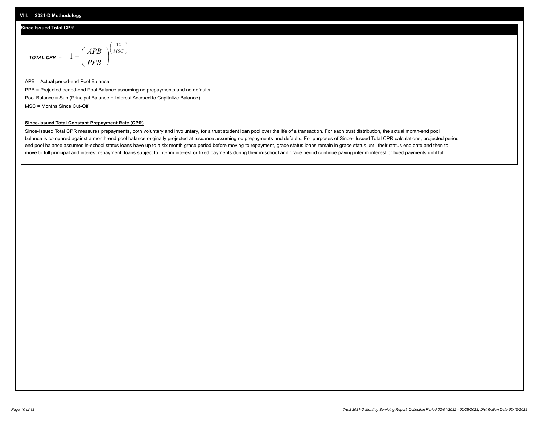## **Since Issued Total CPR**

$$
\text{total cPR} = 1 - \left(\frac{APB}{PPB}\right)^{\left(\frac{12}{MSC}\right)}
$$

APB = Actual period-end Pool Balance PPB = Projected period-end Pool Balance assuming no prepayments and no defaults Pool Balance = Sum(Principal Balance + Interest Accrued to Capitalize Balance) MSC = Months Since Cut-Off

I J Ι

### **Since-Issued Total Constant Prepayment Rate (CPR)**

Since-Issued Total CPR measures prepayments, both voluntary and involuntary, for a trust student loan pool over the life of a transaction. For each trust distribution, the actual month-end pool balance is compared against a month-end pool balance originally projected at issuance assuming no prepayments and defaults. For purposes of Since- Issued Total CPR calculations, projected period end pool balance assumes in-school status loans have up to a six month grace period before moving to repayment, grace status loans remain in grace status until their status end date and then to move to full principal and interest repayment, loans subject to interim interest or fixed payments during their in-school and grace period continue paying interim interest or fixed payments until full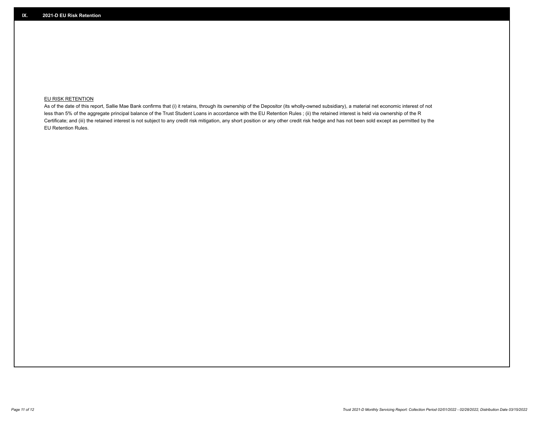## **EU RISK RETENTION**

As of the date of this report, Sallie Mae Bank confirms that (i) it retains, through its ownership of the Depositor (its wholly-owned subsidiary), a material net economic interest of not less than 5% of the aggregate principal balance of the Trust Student Loans in accordance with the EU Retention Rules ; (ii) the retained interest is held via ownership of the R Certificate; and (iii) the retained interest is not subject to any credit risk mitigation, any short position or any other credit risk hedge and has not been sold except as permitted by the EU Retention Rules.